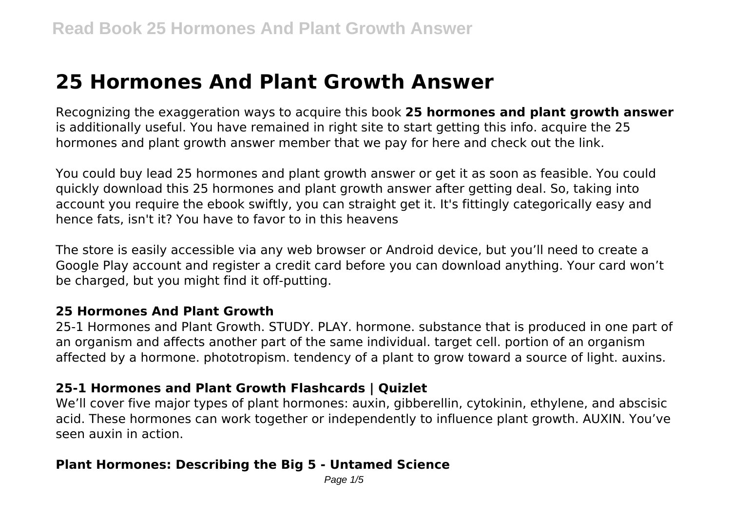# **25 Hormones And Plant Growth Answer**

Recognizing the exaggeration ways to acquire this book **25 hormones and plant growth answer** is additionally useful. You have remained in right site to start getting this info. acquire the 25 hormones and plant growth answer member that we pay for here and check out the link.

You could buy lead 25 hormones and plant growth answer or get it as soon as feasible. You could quickly download this 25 hormones and plant growth answer after getting deal. So, taking into account you require the ebook swiftly, you can straight get it. It's fittingly categorically easy and hence fats, isn't it? You have to favor to in this heavens

The store is easily accessible via any web browser or Android device, but you'll need to create a Google Play account and register a credit card before you can download anything. Your card won't be charged, but you might find it off-putting.

#### **25 Hormones And Plant Growth**

25-1 Hormones and Plant Growth. STUDY. PLAY. hormone. substance that is produced in one part of an organism and affects another part of the same individual. target cell. portion of an organism affected by a hormone. phototropism. tendency of a plant to grow toward a source of light. auxins.

#### **25-1 Hormones and Plant Growth Flashcards | Quizlet**

We'll cover five major types of plant hormones: auxin, gibberellin, cytokinin, ethylene, and abscisic acid. These hormones can work together or independently to influence plant growth. AUXIN. You've seen auxin in action.

#### **Plant Hormones: Describing the Big 5 - Untamed Science**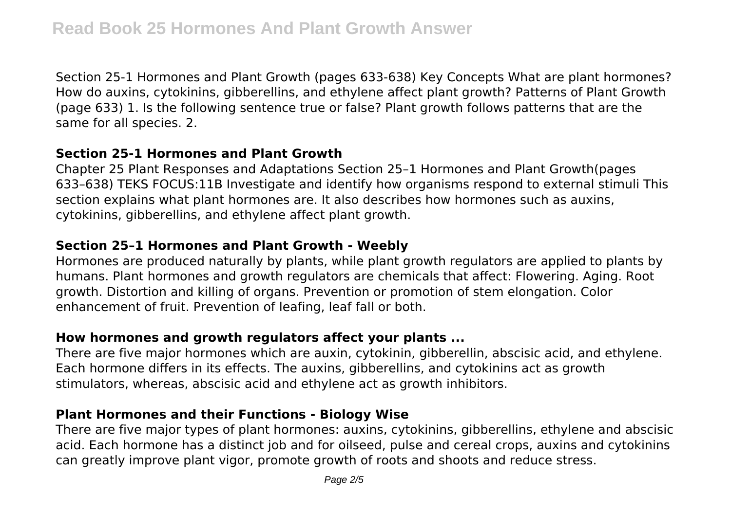Section 25-1 Hormones and Plant Growth (pages 633-638) Key Concepts What are plant hormones? How do auxins, cytokinins, gibberellins, and ethylene affect plant growth? Patterns of Plant Growth (page 633) 1. Is the following sentence true or false? Plant growth follows patterns that are the same for all species. 2.

# **Section 25-1 Hormones and Plant Growth**

Chapter 25 Plant Responses and Adaptations Section 25–1 Hormones and Plant Growth(pages 633–638) TEKS FOCUS:11B Investigate and identify how organisms respond to external stimuli This section explains what plant hormones are. It also describes how hormones such as auxins, cytokinins, gibberellins, and ethylene affect plant growth.

#### **Section 25–1 Hormones and Plant Growth - Weebly**

Hormones are produced naturally by plants, while plant growth regulators are applied to plants by humans. Plant hormones and growth regulators are chemicals that affect: Flowering. Aging. Root growth. Distortion and killing of organs. Prevention or promotion of stem elongation. Color enhancement of fruit. Prevention of leafing, leaf fall or both.

# **How hormones and growth regulators affect your plants ...**

There are five major hormones which are auxin, cytokinin, gibberellin, abscisic acid, and ethylene. Each hormone differs in its effects. The auxins, gibberellins, and cytokinins act as growth stimulators, whereas, abscisic acid and ethylene act as growth inhibitors.

# **Plant Hormones and their Functions - Biology Wise**

There are five major types of plant hormones: auxins, cytokinins, gibberellins, ethylene and abscisic acid. Each hormone has a distinct job and for oilseed, pulse and cereal crops, auxins and cytokinins can greatly improve plant vigor, promote growth of roots and shoots and reduce stress.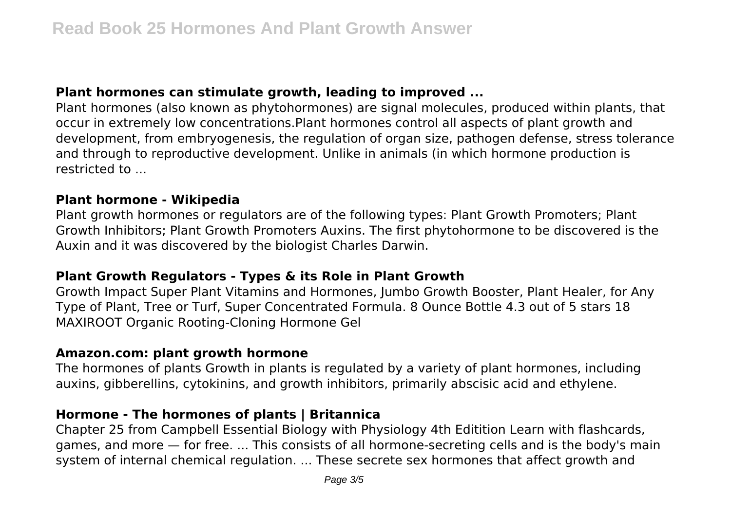## **Plant hormones can stimulate growth, leading to improved ...**

Plant hormones (also known as phytohormones) are signal molecules, produced within plants, that occur in extremely low concentrations.Plant hormones control all aspects of plant growth and development, from embryogenesis, the regulation of organ size, pathogen defense, stress tolerance and through to reproductive development. Unlike in animals (in which hormone production is restricted to ...

#### **Plant hormone - Wikipedia**

Plant growth hormones or regulators are of the following types: Plant Growth Promoters; Plant Growth Inhibitors; Plant Growth Promoters Auxins. The first phytohormone to be discovered is the Auxin and it was discovered by the biologist Charles Darwin.

#### **Plant Growth Regulators - Types & its Role in Plant Growth**

Growth Impact Super Plant Vitamins and Hormones, Jumbo Growth Booster, Plant Healer, for Any Type of Plant, Tree or Turf, Super Concentrated Formula. 8 Ounce Bottle 4.3 out of 5 stars 18 MAXIROOT Organic Rooting-Cloning Hormone Gel

#### **Amazon.com: plant growth hormone**

The hormones of plants Growth in plants is regulated by a variety of plant hormones, including auxins, gibberellins, cytokinins, and growth inhibitors, primarily abscisic acid and ethylene.

#### **Hormone - The hormones of plants | Britannica**

Chapter 25 from Campbell Essential Biology with Physiology 4th Editition Learn with flashcards, games, and more — for free. ... This consists of all hormone-secreting cells and is the body's main system of internal chemical regulation. ... These secrete sex hormones that affect growth and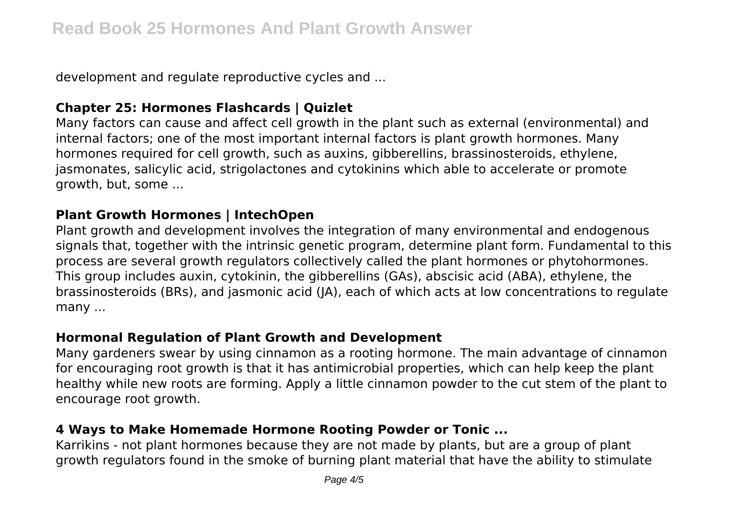development and regulate reproductive cycles and ...

# **Chapter 25: Hormones Flashcards | Quizlet**

Many factors can cause and affect cell growth in the plant such as external (environmental) and internal factors; one of the most important internal factors is plant growth hormones. Many hormones required for cell growth, such as auxins, gibberellins, brassinosteroids, ethylene, jasmonates, salicylic acid, strigolactones and cytokinins which able to accelerate or promote growth, but, some ...

#### **Plant Growth Hormones | IntechOpen**

Plant growth and development involves the integration of many environmental and endogenous signals that, together with the intrinsic genetic program, determine plant form. Fundamental to this process are several growth regulators collectively called the plant hormones or phytohormones. This group includes auxin, cytokinin, the gibberellins (GAs), abscisic acid (ABA), ethylene, the brassinosteroids (BRs), and jasmonic acid (JA), each of which acts at low concentrations to regulate many ...

#### **Hormonal Regulation of Plant Growth and Development**

Many gardeners swear by using cinnamon as a rooting hormone. The main advantage of cinnamon for encouraging root growth is that it has antimicrobial properties, which can help keep the plant healthy while new roots are forming. Apply a little cinnamon powder to the cut stem of the plant to encourage root growth.

# **4 Ways to Make Homemade Hormone Rooting Powder or Tonic ...**

Karrikins - not plant hormones because they are not made by plants, but are a group of plant growth regulators found in the smoke of burning plant material that have the ability to stimulate